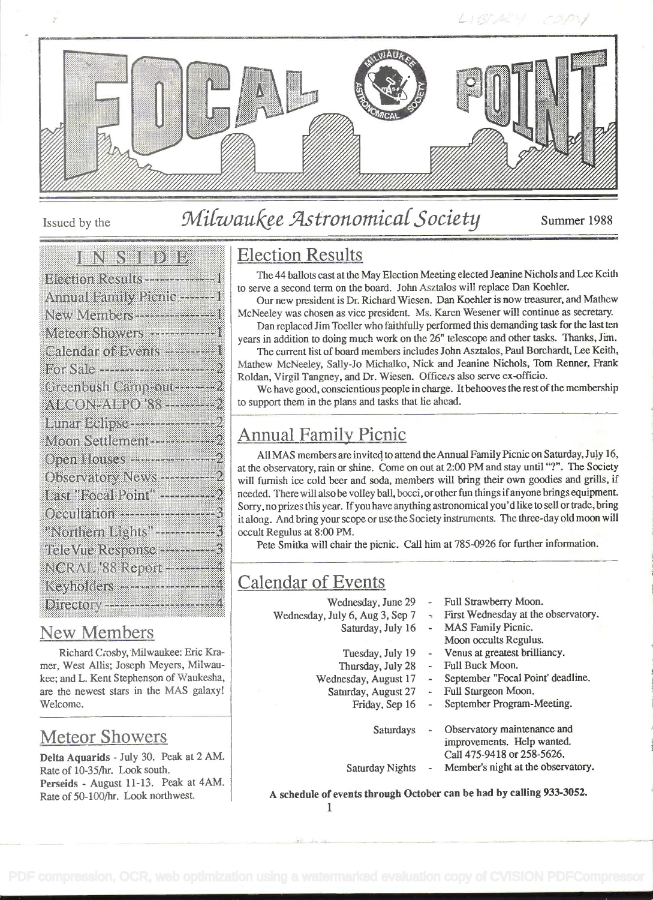

# Issued by the Milwaukee Astronomical Society Summer 1988

#### en verdige den b

| Bleetion Results ---------------------1               |
|-------------------------------------------------------|
| Annual Family Picnic ----- 1                          |
| New Members - - - - - - - - - - 1                     |
| Meteor Showers --------------1                        |
| Calendar of Events ----------1                        |
| For Sale <del>- - - - - - - - - - - - - -</del> - - - |
| Greenbush Camprout                                    |
| ALCON-ALPO 88 -------- 2                              |
|                                                       |
|                                                       |
|                                                       |
| Observatory News ----------- 2                        |
| Last "Focal Point" ---------- 2                       |
|                                                       |
| "Northern Lights" <del></del> ?                       |
| TeleVue Response ---------------                      |
| NCRAL '88 Report ----------4                          |
|                                                       |
| Direction and the company of the company              |

#### New Members

Richard Crosby, Milwaukee: Eric Kmmer, West Allis; Joseph Meyers, Milwaukee; and L. Kent Stephenson of Waukesha, are the newest stars in the MAS galaxy! Welcome.

## Meteor Showers

Delta Aquarids - July 30. Peak at 2 AM. Rate of 10-35/hr. Look south. Perseids - August 11-13. Peak at 4AM. Rate of 50-100/hr. Look northwest.

## Election Results

The 44 ballots cast at the May Election Meeting elected Jeanine Nichols and Lee Keith to serve a second term on the board. John Asztalos will replace Dan Koehler.

Our new president is Dr. Richard Wiesen. Dan Koehier is now treasurer, and Mathew McNeeley was chosen as vice president. Ms. Karen Wesener will continue as secretary.

Dan replaced Jim Toeller who faithfully performed this demanding task for the last ten years in addition to doing much work on the 26" telescope and other tasks. Thanks, Jim.

The current list of board members includes John Asztalos, Paul Borchardt, Lee Keith, Mathew McNeeley, Sally-Jo Michalko, Nick and Jeanine Nichols, Tom Renner, Frank Roldan, Virgil Tangney, and Dr. Wiesen. Officers also serve ex-officio.

We have good, conscientious people in charge. It behooves the rest of the membership to support them in the plans and tasks that lie ahead.

## Annual Family Picnic

All MAS members are invited to attend theAnnual Family Picnic on Saturday, July 16, at the observatory, rain or shine. Come on out at 2:00 PM and stay until "?". The Society will furnish ice cold beer and soda, members will bring their own goodies and grills, if needed. There will alsobe volley ball, bocci, or other fun things ifanyone brings equipment. Sorry, no prizes this year. If you have anything astronomical you'd like to sell or trade, bring it along. And bring your scope or use the Society instruments. The three-day old moon will occult Regulus at 8:00 PM.

Pete Smitka will chair the picnic. Call him at 785-0926 for further information.

## Calendar of Events

- Wednesday, June 29
- Wednesday, July 6, Aug 3, Sep 7
	- Saturday, July 16
	- Tuesday, July 19
	- Thursday, July 28
	- Wednesday, August 17
	- Saturday, August 27
		- Friday, Sep 16
			- September Program-Meeting.

Full Sturgeon Moon.

Full Buck Moon.

Full Strawberry Moon.

MAS Family Picnic. Moon occults Regulus. Venus at greatest brilliancy.

First Wednesday at the observatory.

September "Focal Point' deadline.

- Saturdays Observatory maintenance and improvements. Help wanted. Call 475-94 18 or 258-5626.
- Saturday Nights Member's night at the observatory.

A schedule of events through October can be had by calling 933-3052.

1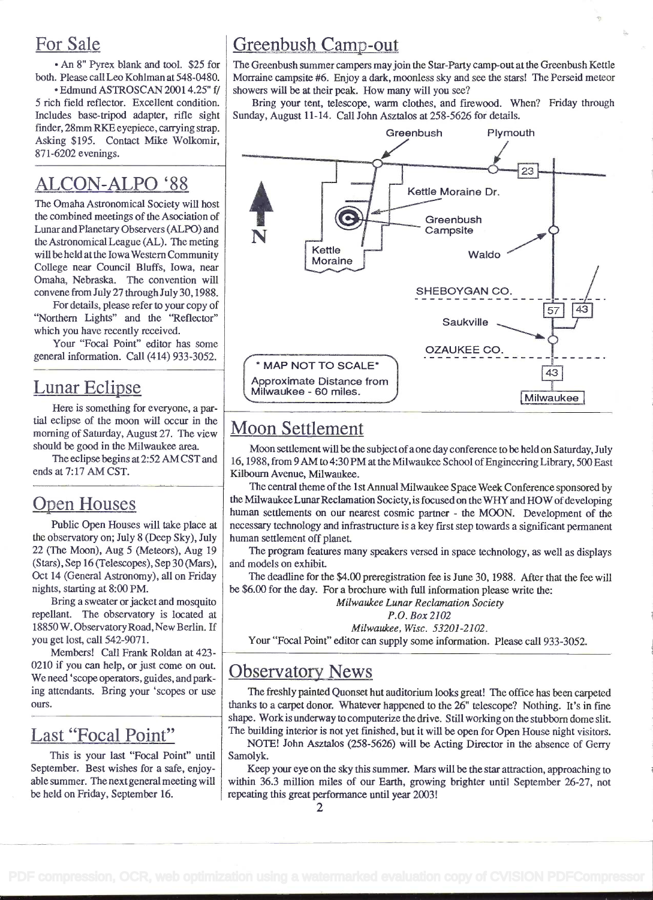#### For Sale

. An 8" Pyrex blank and tool. \$25 for both. Please call Leo Kohiman at 548-0480.

. Edmund ASTROSCAN 2001 4.25" f/ 5 rich field reflector. Excellent condition. Includes base-tripod adapter, rifle sight finder, 28mm RKE eyepiece, canying strap. Asking \$195. Contact Mike Wolkomir, 871-6202 evenings.

## ALCON-ALPO '88

The Omaha Astronomical Society will host the combined meetings of the Asociation of Lunar andPlanetary Observers (ALPO) and theAstronomical League (AL). The meting will be held at the lowaWestern Community College near Council Bluffs, Iowa, near Omaha, Nebraska. The convention will convene from July 27 through July 30,1988.

For details, please refer to your copy of "Northern Lights" and the "Reflector" which you have recently received.

Your "Focal Point" editor has some general information. Call (4 14) 933-3052.

#### Lunar Eclipse

Here is something for everyone, a partial eclipse of the moon will occur in the morning of Saturday, August 27. The view should be good in the Milwaukee area.

The eclipse begins at 2:52 AM CST and ends at 7:17 AM CST.

## Open Houses

Public Open Houses will take place at the observatory on; July 8 (Deep Sky), July 22 (The Moon), Aug 5 (Meteors), Aug 19 (Stars), Sep 16 (Telescopes), Sep 30 (Mars), Oct 14 (General Astronomy), all on Friday nights, starting at 8:00 PM.

Bring a sweater or jacket and mosquito repellant. The observatory is located at 18850 W. ObservatoryRoad, New Berlin. If you get lost, call 542-9071.

Members! Call Frank Roldan at 423- 0210 if you can help, or just come on out. We need 'scope operators, guides, and parking attendants. Bring your 'scopes or use ours.

#### Last "Focal Point"

This is your last "Focal Point" until September. Best wishes for a safe, enjoyable summer. The next general meeting will be held on Friday, September 16.

## Greenbush Camp-out

The Greenbush summer campers mayjoin the Star-Party camp-out at the Greenbush Kettle Morraine campsite #6. Enjoy a dark, moonless sky and see the stars! The Perseid meteor showers will be at their peak. How many will you see?

Bring your tent, telescope, warm clothes, and firewood. When? Friday through Sunday, August 11-14. Call John Asztalos at 258-5626 for details.



#### Moon Settlement

Moon settlement will be the subject of a one day conference to be held on Saturday, July 16, 1988, from 9 AM to 4:30 PM at the Milwaukee School ofEngineering Library, 500 East Kilbourn Avenue, Milwaukee.

The central theme of the 1st Annual Milwaukee Space Week Conference sponsored by the Milwaukee Lunar Reclamation Society, is focused on the WHY and HOW of developing human settlements on our nearest cosmic partner - the MOON. Development of the necessary technology and infrastructure is a key first step towards a significant permanent human settlement off planet.

The program features many speakers versed in space technology, as well as displays and models on exhibit.

The deadline for the \$4.00 preregistration fee is June 30, 1988. After that the fee will be \$6.00 for the day. For a brochure with full information please write the:

Milwaukee Lunar Reclamation Society

P.O. Box 2102

Milwaukee, Wisc. 53201-2102.

Your "Focal Point" editor can supply some information. Please call 933-3052.

#### Observatory News

The freshly painted Quonset hut auditorium looks great! The office has been carpeted thanks to a carpet donor. Whatever happened to the 26" telescope? Nothing. It's in fine shape. Work is underway to computerize the drive. Still working on the stubborn dome slit. The building interior is not yet finished, but it will be open for Open House night visitors.

NOTE! John Asztalos (258-5626) will be Acting Director in the absence of Gerry Samolyk.

Keep your eye on the sky this summer. Mars will be the star attraction, approaching to within 36.3 million miles of our Earth, growing brighter until September 26-27, not repeating this great performance until year 2003!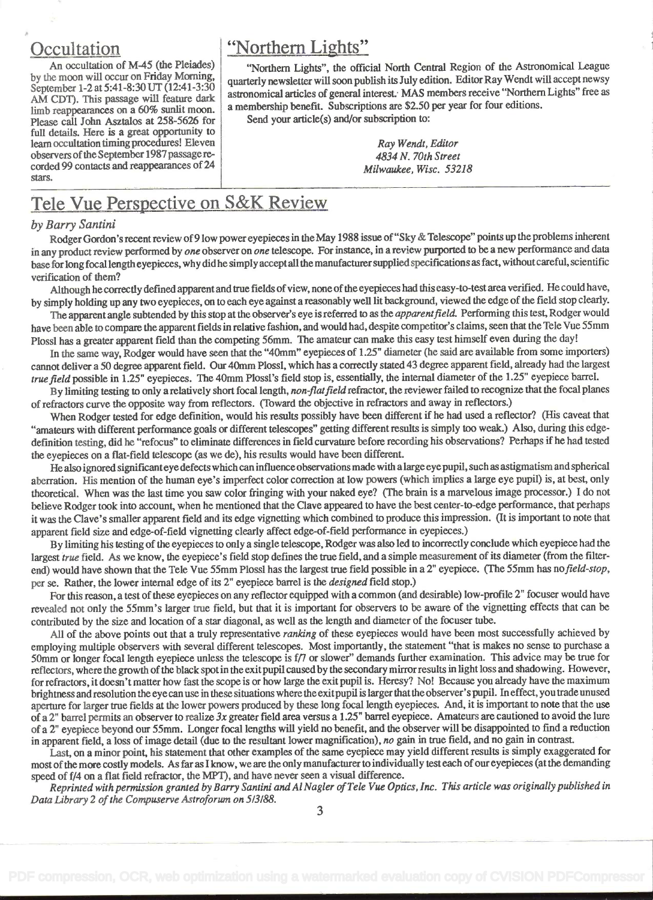#### **Occultation**

An occultation of M-45 (the Pleiades) by the moon will occur on Friday Morning, September 1-2 at 5:41-8:30 UT (12:41-3:30) AM CDT). This passage will feature dark limb reappearances on a 60% sunlit moon. Please call John Asztalos at 258-5626 for full details. Here is a great opportunity to learn occultation timingprocedures! Eleven observers of the September 1987 passage recorded 99 contacts and reappearances of 24 stars.

#### "Northern Lights"

"Northern Lights", the official North Central Region of the Astronomical League quarterly newsletter will soon publish its July edition. Editor Ray Wendt will accept newsy astronomical articles of general interest. MAS members receive "Northern Lights" free as a membership benefit. Subscriptions are \$2.50 per year for four editions.

Send your article(s) and/or subscription to:

Ray Wendt, Editor 4834 N. 70th Street Milwaukee, Wisc. 53218

## Tele Vue Perspective on S&K Review

#### by Barry Santini

Rodger Gordon's recent review of 9 low power eyepieces in the May 1988 issue of "Sky & Telescope" points up the problems inherent in any product review performed by one observer on one telescope. For instance, in a review purported to be a new performance and data base for long focal length eyepieces, why did he simply accept all the manufacturer supplied specifications as fact, without careful, scientific verification of them?

Although he correctly defined apparent and true fields of view, none of the eyepieces had this easy-to-test area verified. He could have, by simply holding up any two eyepieces, on to each eye against a reasonably well lit background, viewed the edge of the field stop clearly.

The apparent angle subtended by this stop at the observer's eye is referred to as the *apparent field*. Performing this test, Rodger would have been able to compare the apparent fields in relative fashion, and would had, despite competitor's claims, seen that the Tele Vue 55mm Plossl has a greater apparent field than the competing 56mm. The amateur can make this easy test himself even during the day!

In the same way, Rodger would have seen that the "40mm" eyepieces of 1.25" diameter (he said are available from some importers) cannot deliver a 50 degree apparent field. Our 40mm Plossl, which has a correctly stated 43 degree apparent field, already had the largest true field possible in 1.25" eyepieces. The 40mm Plossl's field stop is, essentially, the internal diameter of the 1.25" eyepiece barrel.

By limiting testing to only a relatively short focal length, non-flat field refractor, the reviewer failed to recognize that the focal planes of refractors curve the opposite way from reflectors. (Toward the objective in refractors and away in reflectors.)

When Rodger tested for edge defmition, would his results possibly have been different if he had used a reflector? (His caveat that "amateurs with different performance goals or different telescopes" getting different results is simply too weak.) Also, during this edgedefinition testing, did he "refocus" to eliminate differences in field curvature before recording his observations? Perhaps if he had tested the eyepieces on a flat-field telescope (as we de), his results would have been different.

He also ignored significanteye defects which can influence observations made with a large eye pupil, such as astigmatism and spherical aberration. His mention of the human eye's imperfect color correction at low powers (which implies a large eye pupil) is, at best, only theoretical. When was the last time you saw color fringing with your naked eye? (The brain is a marvelous image processor.) I do not believe Rodger took into account, when he mentioned that the Clave appeared to have the best center-to-edge performance, that perhaps it was the Clave's smaller apparent field and its edge vignetting which combined to produce this impression. (It is important to note that apparent field size and edge-of-field vignetting clearly affect edge-of-field performance in eyepieces.)

By limiting his testing of the eyepieces to only a single telescope, Rodger was also led to incormctly conclude which eyepiece had the largest true field. As we know, the eyepiece's field stop defines the true field, and a simple measurement of its diameter (from the filterend) would have shown that the Tele Vue 55mm Plossl has the largest true field possible in a 2" eyepiece. (The 55mm has no field-stop, per se. Rather, the lower internal edge of its 2" eyepiece barrel is the designed field stop.)

For this reason, a test of these eyepieces on any reflector equipped with a common (and desirable) low-profile 2" focuser would have revealed not only the SSmm's larger true field, but that it is important for observers to be aware of the vignetting effects that can be contributed by the size and location of a star diagonal, as well as the length and diameter of the focuser tube.

All of the above points out that a truly representative *ranking* of these eyepieces would have been most successfully achieved by employing multiple observers with several different telescopes. Most importantly, the statement "that is makes no sense to purchase a 50mm or longer focal length eyepiece unless the telescope is ff7 or slower" demands further examination. This advice may be true for reflectors, where the growth ofthe black spot in the exitpupil caused by the secondary mirrorresults in light loss and shadowing. However, for refractors, it doesn't matter how fast the scope is or how large the exit pupil is. Heresy? No! Because you already have the maximum brightness and resolution the eyecan use in these situations where the exitpupil is larger thattheobserver'spupil. In effect, you trade unused aperture for larger true fields at the lower powers produced by these long focal length eyepieces. And, it is important to note that the use of a 2" barrel permits an observer to realize  $3x$  greater field area versus a 1.25" barrel eyepiece. Amateurs are cautioned to avoid the lure of a 2" eyepiece beyond our 55mm. Longer focal lengths will yield no benefit, and the observer will be disappointed to find a reduction in apparent field, a loss of image detail (due to the resultant lower magnification), no gain in true field, and no gain in contrast.

Last, on a minor point, his statement that other examples of the same eyepiece may yield different results is simply exaggerated for most ofthe more costly models. As far as I know, we are the only manufacturer to individually test each ofour eyepieces (at the demanding speed of f/4 on a flat field refractor, the MPT), and have never seen a visual difference.

Reprinted with permission granted by Barry Santini and Al Nagler of Tele Vue Optics, Inc. This article was originally published in Data Library 2 of the Compuserve Astroforum on 5/3/88.